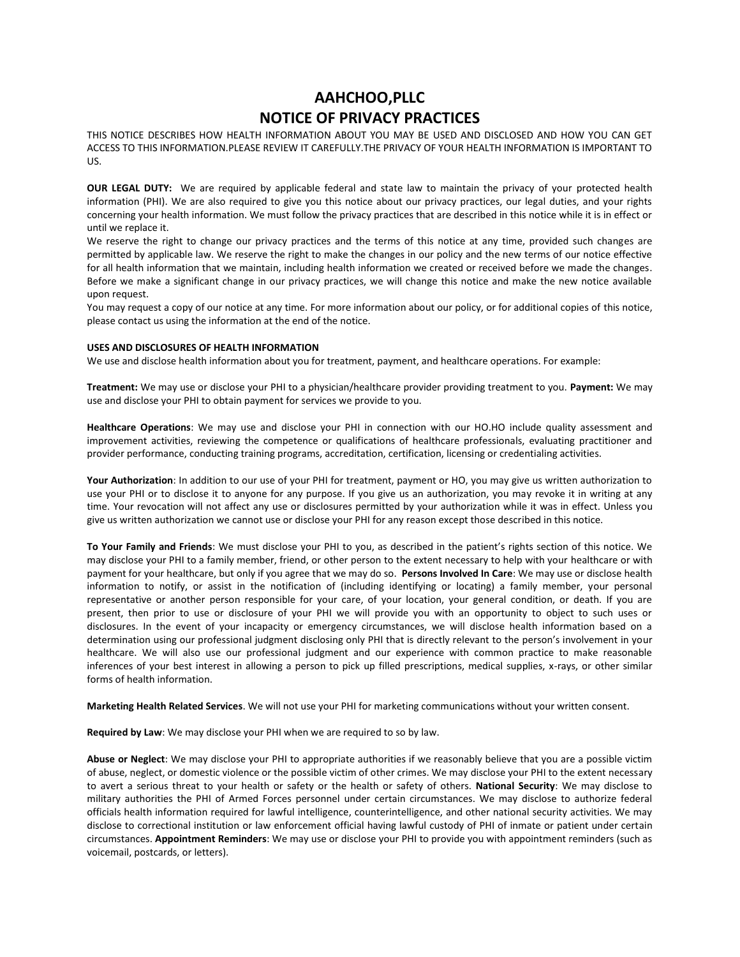# **AAHCHOO,PLLC NOTICE OF PRIVACY PRACTICES**

THIS NOTICE DESCRIBES HOW HEALTH INFORMATION ABOUT YOU MAY BE USED AND DISCLOSED AND HOW YOU CAN GET ACCESS TO THIS INFORMATION.PLEASE REVIEW IT CAREFULLY.THE PRIVACY OF YOUR HEALTH INFORMATION IS IMPORTANT TO US.

**OUR LEGAL DUTY:** We are required by applicable federal and state law to maintain the privacy of your protected health information (PHI). We are also required to give you this notice about our privacy practices, our legal duties, and your rights concerning your health information. We must follow the privacy practices that are described in this notice while it is in effect or until we replace it.

We reserve the right to change our privacy practices and the terms of this notice at any time, provided such changes are permitted by applicable law. We reserve the right to make the changes in our policy and the new terms of our notice effective for all health information that we maintain, including health information we created or received before we made the changes. Before we make a significant change in our privacy practices, we will change this notice and make the new notice available upon request.

You may request a copy of our notice at any time. For more information about our policy, or for additional copies of this notice, please contact us using the information at the end of the notice.

#### **USES AND DISCLOSURES OF HEALTH INFORMATION**

We use and disclose health information about you for treatment, payment, and healthcare operations. For example:

**Treatment:** We may use or disclose your PHI to a physician/healthcare provider providing treatment to you. **Payment:** We may use and disclose your PHI to obtain payment for services we provide to you.

**Healthcare Operations**: We may use and disclose your PHI in connection with our HO.HO include quality assessment and improvement activities, reviewing the competence or qualifications of healthcare professionals, evaluating practitioner and provider performance, conducting training programs, accreditation, certification, licensing or credentialing activities.

**Your Authorization**: In addition to our use of your PHI for treatment, payment or HO, you may give us written authorization to use your PHI or to disclose it to anyone for any purpose. If you give us an authorization, you may revoke it in writing at any time. Your revocation will not affect any use or disclosures permitted by your authorization while it was in effect. Unless you give us written authorization we cannot use or disclose your PHI for any reason except those described in this notice.

**To Your Family and Friends**: We must disclose your PHI to you, as described in the patient's rights section of this notice. We may disclose your PHI to a family member, friend, or other person to the extent necessary to help with your healthcare or with payment for your healthcare, but only if you agree that we may do so. **Persons Involved In Care**: We may use or disclose health information to notify, or assist in the notification of (including identifying or locating) a family member, your personal representative or another person responsible for your care, of your location, your general condition, or death. If you are present, then prior to use or disclosure of your PHI we will provide you with an opportunity to object to such uses or disclosures. In the event of your incapacity or emergency circumstances, we will disclose health information based on a determination using our professional judgment disclosing only PHI that is directly relevant to the person's involvement in your healthcare. We will also use our professional judgment and our experience with common practice to make reasonable inferences of your best interest in allowing a person to pick up filled prescriptions, medical supplies, x-rays, or other similar forms of health information.

**Marketing Health Related Services**. We will not use your PHI for marketing communications without your written consent.

**Required by Law**: We may disclose your PHI when we are required to so by law.

**Abuse or Neglect**: We may disclose your PHI to appropriate authorities if we reasonably believe that you are a possible victim of abuse, neglect, or domestic violence or the possible victim of other crimes. We may disclose your PHI to the extent necessary to avert a serious threat to your health or safety or the health or safety of others. **National Security**: We may disclose to military authorities the PHI of Armed Forces personnel under certain circumstances. We may disclose to authorize federal officials health information required for lawful intelligence, counterintelligence, and other national security activities. We may disclose to correctional institution or law enforcement official having lawful custody of PHI of inmate or patient under certain circumstances. **Appointment Reminders**: We may use or disclose your PHI to provide you with appointment reminders (such as voicemail, postcards, or letters).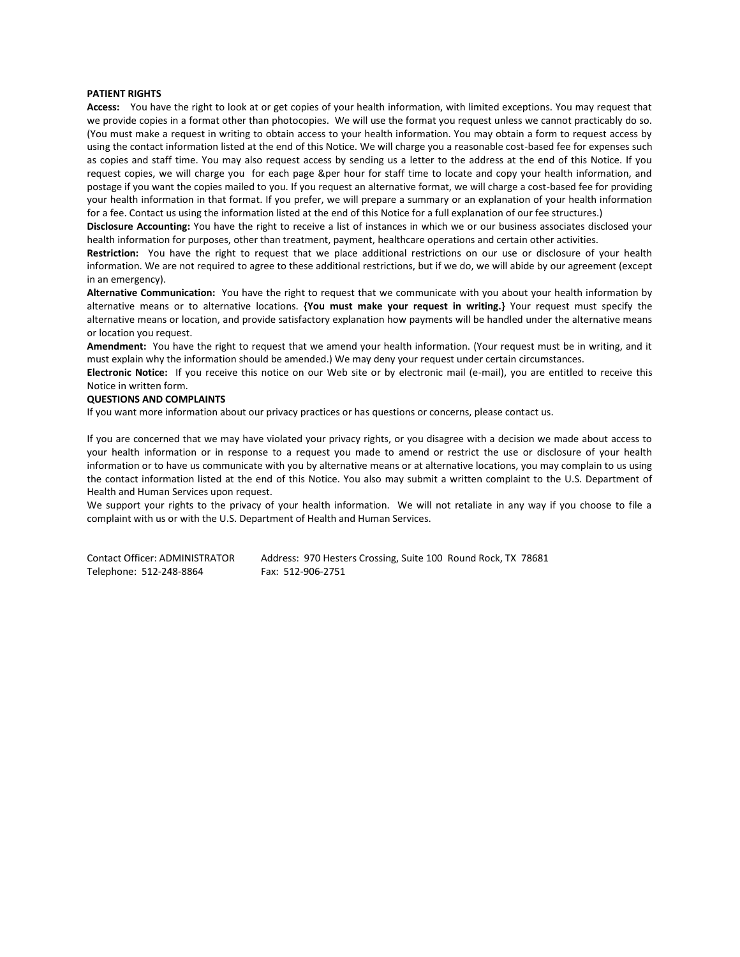### **PATIENT RIGHTS**

**Access:** You have the right to look at or get copies of your health information, with limited exceptions. You may request that we provide copies in a format other than photocopies. We will use the format you request unless we cannot practicably do so. (You must make a request in writing to obtain access to your health information. You may obtain a form to request access by using the contact information listed at the end of this Notice. We will charge you a reasonable cost-based fee for expenses such as copies and staff time. You may also request access by sending us a letter to the address at the end of this Notice. If you request copies, we will charge you for each page &per hour for staff time to locate and copy your health information, and postage if you want the copies mailed to you. If you request an alternative format, we will charge a cost-based fee for providing your health information in that format. If you prefer, we will prepare a summary or an explanation of your health information for a fee. Contact us using the information listed at the end of this Notice for a full explanation of our fee structures.)

**Disclosure Accounting:** You have the right to receive a list of instances in which we or our business associates disclosed your health information for purposes, other than treatment, payment, healthcare operations and certain other activities.

**Restriction:** You have the right to request that we place additional restrictions on our use or disclosure of your health information. We are not required to agree to these additional restrictions, but if we do, we will abide by our agreement (except in an emergency).

**Alternative Communication:** You have the right to request that we communicate with you about your health information by alternative means or to alternative locations. **{You must make your request in writing.}** Your request must specify the alternative means or location, and provide satisfactory explanation how payments will be handled under the alternative means or location you request.

**Amendment:** You have the right to request that we amend your health information. (Your request must be in writing, and it must explain why the information should be amended.) We may deny your request under certain circumstances.

**Electronic Notice:** If you receive this notice on our Web site or by electronic mail (e-mail), you are entitled to receive this Notice in written form.

### **QUESTIONS AND COMPLAINTS**

If you want more information about our privacy practices or has questions or concerns, please contact us.

If you are concerned that we may have violated your privacy rights, or you disagree with a decision we made about access to your health information or in response to a request you made to amend or restrict the use or disclosure of your health information or to have us communicate with you by alternative means or at alternative locations, you may complain to us using the contact information listed at the end of this Notice. You also may submit a written complaint to the U.S. Department of Health and Human Services upon request.

We support your rights to the privacy of your health information. We will not retaliate in any way if you choose to file a complaint with us or with the U.S. Department of Health and Human Services.

| <b>Contact Officer: ADMINISTRATOR</b> | Address: 970 Hesters Crossing, Suite 100 Round Rock, TX 78681 |  |
|---------------------------------------|---------------------------------------------------------------|--|
| Telephone: 512-248-8864               | Fax: 512-906-2751                                             |  |